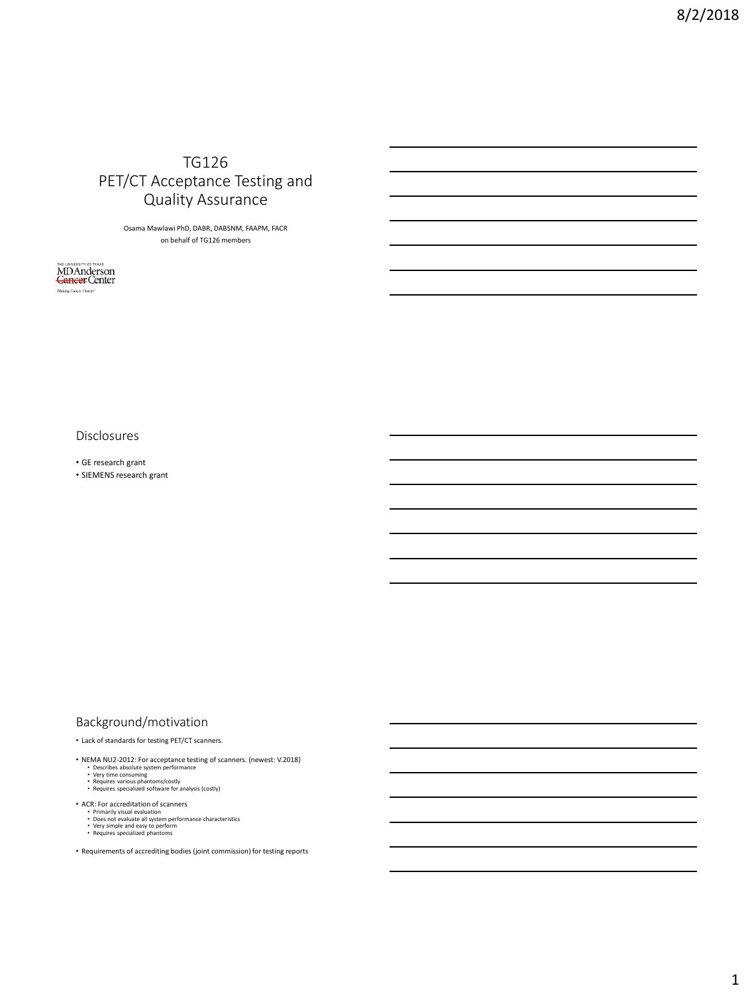# TG126 PET/CT Acceptance Testing and Quality Assurance

Osama Mawlawi PhD, DABR, DABSNM, FAAPM, FACR on behalf of TG126 members

MDAnderson Making Cancer History'

Disclosures

• GE research grant

• SIEMENS research grant

## Background/motivation

• Lack of standards for testing PET/CT scanners.

- NEMA NU2-2012: For acceptance testing of scanners. (newest: V.2018)<br>• Describes absolute system performance<br>• Yery time consuming<br>• Requires various phantoms/costly<br>• Requires specialized software for analysis (costly)
	-
	-
- 
- ACR: For accreditation of scanners
	-
	- Primarily visual evaluation Does not evaluate all system performance characteristics Very simple and easy to perform Requires specialized phantoms
	-
- Requirements of accrediting bodies (joint commission) for testing reports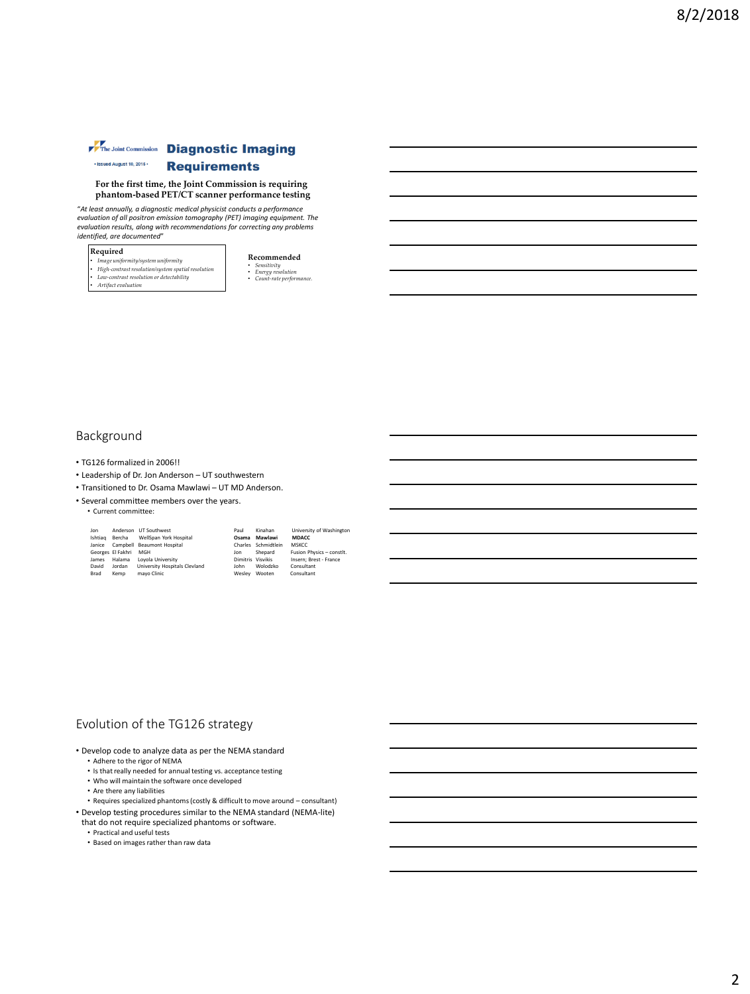#### The Joint Commission Diagnostic Imaging · Issued August 10, 2015 · **Requirements**

#### **For the first time, the Joint Commission is requiring phantom-based PET/CT scanner performance testing**

"*At least annually, a diagnostic medical physicist conducts a performance evaluation of all positron emission tomography (PET) imaging equipment. The evaluation results, along with recommendations for correcting any problems identified, are documented*"

#### **Required**

- *Image uniformity/system uniformity High-contrast resolution/system spatial resolution Low-contrast resolution or detectability*
- 
- *Artifact evaluation*

**Recommended** • *Sensitivity*  • *Energy resolution* • *Count-rate performance.*

#### Background

- TG126 formalized in 2006!!
- Leadership of Dr. Jon Anderson UT southwestern
- Transitioned to Dr. Osama Mawlawi UT MD Anderson.
- Several committee members over the years.

#### • Current committee:

| Jon     | Anderson          | <b>LIT Southwest</b>          | Paul              | Kinahan     | University of Washington  |
|---------|-------------------|-------------------------------|-------------------|-------------|---------------------------|
| Ishtiag | Bercha            | WellSpan York Hospital        | Osama             | Mawlawi     | <b>MDACC</b>              |
| Janice  |                   | Campbell Beaumont Hospital    | Charles           | Schmidtlein | <b>MSKCC</b>              |
|         | Georges El Fakhri | MGH                           | Jon               | Shepard     | Fusion Physics - constlt. |
| James   | Halama            | Lovola University             | Dimitris Visvikis |             | Insern: Brest - France    |
| David   | Jordan            | University Hospitals Clevland | John              | Wolodzko    | Consultant                |
| Brad    | Kemp              | mayo Clinic                   | Wesley            | Wooten      | Consultant                |

#### Evolution of the TG126 strategy

- Develop code to analyze data as per the NEMA standard
	- Adhere to the rigor of NEMA
	- Is that really needed for annual testing vs. acceptance testing • Who will maintain the software once developed
	-
	- Are there any liabilities
- Requires specialized phantoms (costly & difficult to move around consultant) • Develop testing procedures similar to the NEMA standard (NEMA-lite) that do not require specialized phantoms or software.
- 
- Practical and useful tests
- Based on images rather than raw data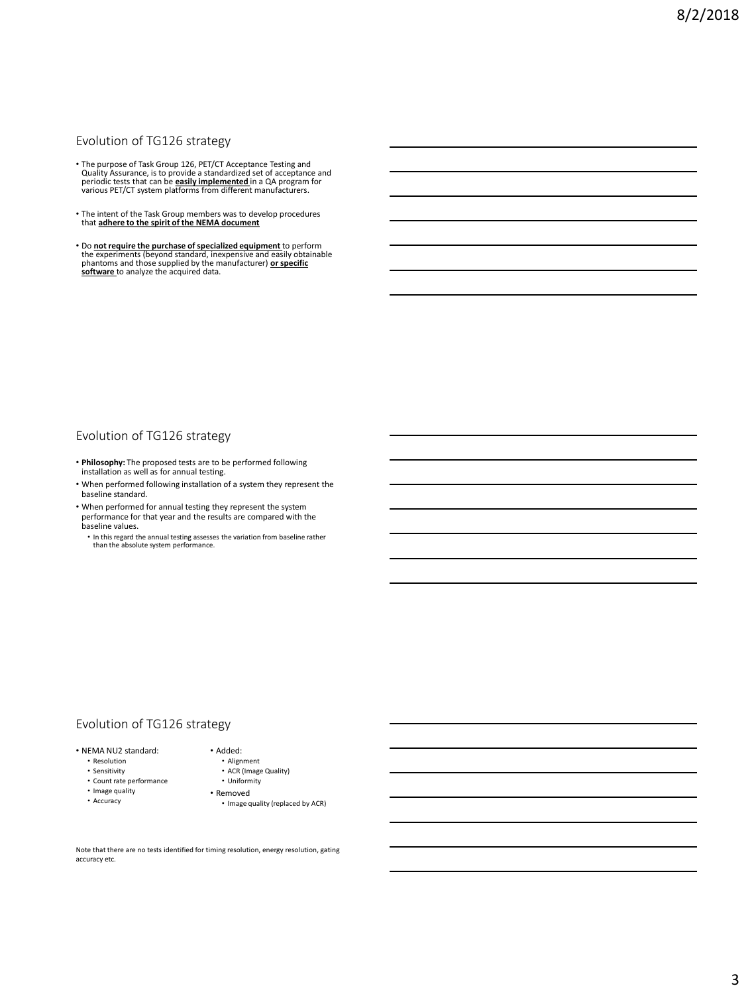## Evolution of TG126 strategy

- The purpose of Task Group 126, PET/CT Acceptance Testing and Quality Assurance, is to provide a standardized set of acceptance and periodic tests that can be **easily implemented** in a QA program for various PET/CT system platforms from different manufacturers.
- The intent of the Task Group members was to develop procedures that **adhere to the spirit of the NEMA document**
- Do **not require the purchase of specialized equipment** to perform the experiments (beyond standard, inexpensive and easily obtainable<br>phantoms and those supplied by the manufacturer) <u>or specific</u><br><u>software t</u>o analyze the acquired data.

#### Evolution of TG126 strategy

- **Philosophy:** The proposed tests are to be performed following installation as well as for annual testing.
- When performed following installation of a system they represent the baseline standard.
- When performed for annual testing they represent the system performance for that year and the results are compared with the baseline values.
	- In this regard the annual testing assesses the variation from baseline rather than the absolute system performance.

### Evolution of TG126 strategy

- NEMA NU2 standard:
	- Resolution
	- Sensitivity
	- Count rate performance
	- Image quality
	- Accuracy
- Alignment

• Added:

- ACR (Image Quality)
- Uniformity
- Removed
	- Image quality (replaced by ACR)

Note that there are no tests identified for timing resolution, energy resolution, gating accuracy etc.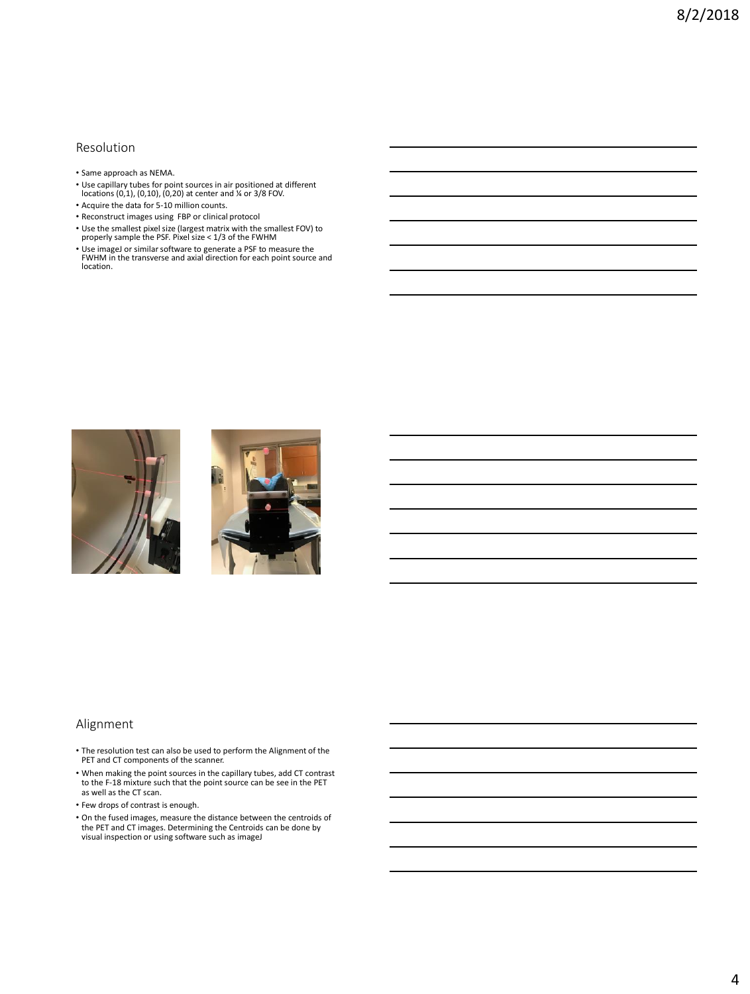#### Resolution

- Same approach as NEMA.
- Use capillary tubes for point sources in air positioned at different locations (0,1), (0,10), (0,20) at center and ¼ or 3/8 FOV.
- Acquire the data for 5-10 million counts.
- Reconstruct images using FBP or clinical protocol
- Use the smallest pixel size (largest matrix with the smallest FOV) to properly sample the PSF. Pixel size < 1/3 of the FWHM
- Use imageJ or similar software to generate a PSF to measure the FWHM in the transverse and axial direction for each point source and location.





#### Alignment

- The resolution test can also be used to perform the Alignment of the PET and CT components of the scanner.
- When making the point sources in the capillary tubes, add CT contrast to the F-18 mixture such that the point source can be see in the PET as well as the CT scan.
- Few drops of contrast is enough.
- On the fused images, measure the distance between the centroids of the PET and CT images. Determining the Centroids can be done by visual inspection or using software such as imageJ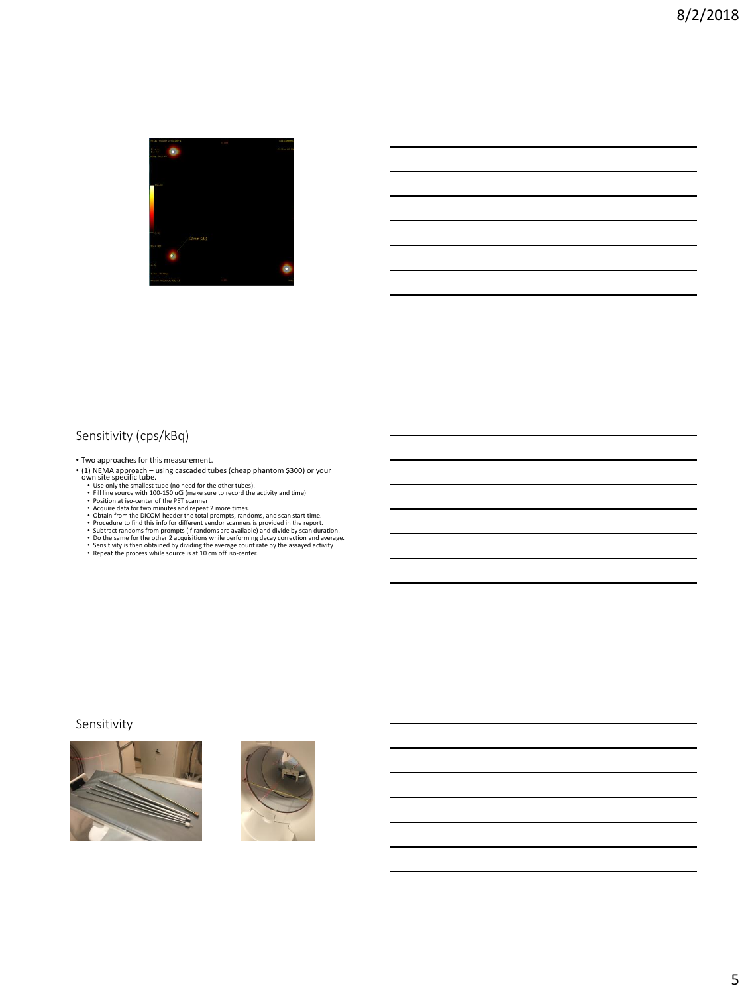

# Sensitivity (cps/kBq)

• Two approaches for this measurement.

- (1) NEMA approach using cascaded tubes (cheap phantom \$300) or your<br>
Wh site specific tube.<br>
When some twist of the other tubes).<br>
Fill ine source with 100-150 uC (make sure to record the activity and time)<br>
F
	-
	-
	-
	-
	-
	-
	-
	-

#### Sensitivity



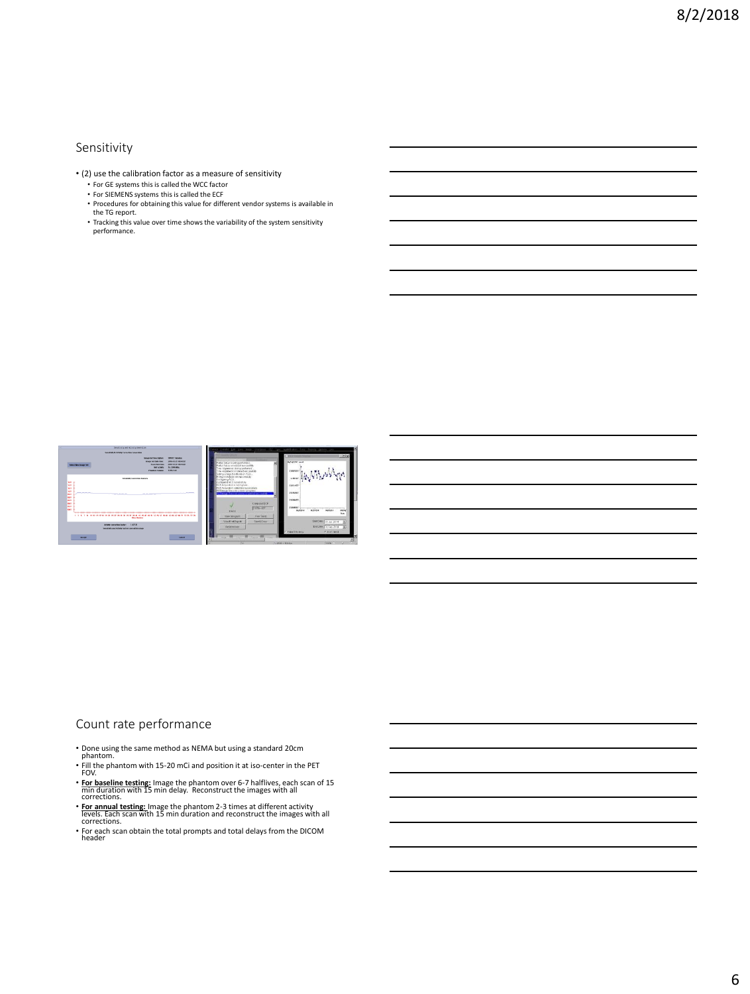#### Sensitivity

- (2) use the calibration factor as a measure of sensitivity
	- For GE systems this is called the WCC factor For SIEMENS systems this is called the ECF
	-
	- Procedures for obtaining this value for different vendor systems is available in the TG report.
	- Tracking this value over time shows the variability of the system sensitivity performance.



#### Count rate performance

- Done using the same method as NEMA but using a standard 20cm
- phantom. Fill the phantom with 15-20 mCi and position it at iso-center in the PET FOV.
- 
- **For baseline testing:** Image the phantom over 6-7 halflives, each scan of 15 min duration with 15 min delay. Reconstruct the images with all corrections.
- **For annual testing:** Image the phantom 2-3 times at different activity levels. Each scan with 15 min duration and reconstruct the images with all corrections.
- For each scan obtain the total prompts and total delays from the DICOM header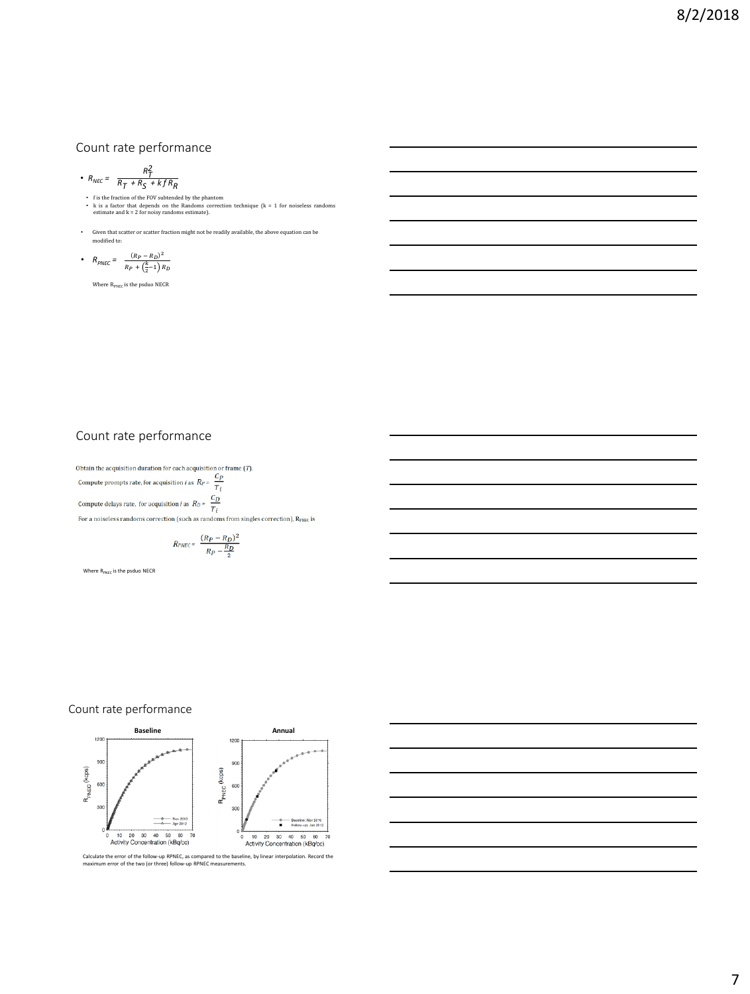### Count rate performance

• 
$$
R_{NEC} = \frac{R_T^2}{R_T + R_S + k f R_R}
$$

- $NMEC = \frac{R}{R} + \frac{R}{S} + k \int R_R$ <br>• Its the fraction of the FOV subtended by the phantom<br>• k is a factor that depends on the Randoms correction technique (k = 1 for noiseless randoms<br>• estimate and k = 2 for noisy randoms estim
- Given that scatter or scatter fraction might not be readily available, the above equation can be modified to:

• 
$$
R_{PNEC} = \frac{(R_P - R_D)^2}{R_P + (\frac{k}{2} - 1) R_D}
$$

Where  $\rm R_{PNEC}$  is the psduo NECR

# Count rate performance

Obtain the acquisition duration for each acquisition or frame  $(T)$ . Compute prompts rate, for acquisition *i* as  $R_P = \frac{C_P}{T_i}$ Compute delays rate, for acquisition *i* as  $R_D = \frac{C_D}{T_i}$ For a noiseless randoms correction (such as randoms from singles correction),  $R_{PNEC}$  is

$$
R_{PNEC} = \frac{(R_P - R_D)^2}{R_P - \frac{R_D}{2}}
$$

Where  $R_{PNEC}$  is the psduo NECR

#### Count rate performance

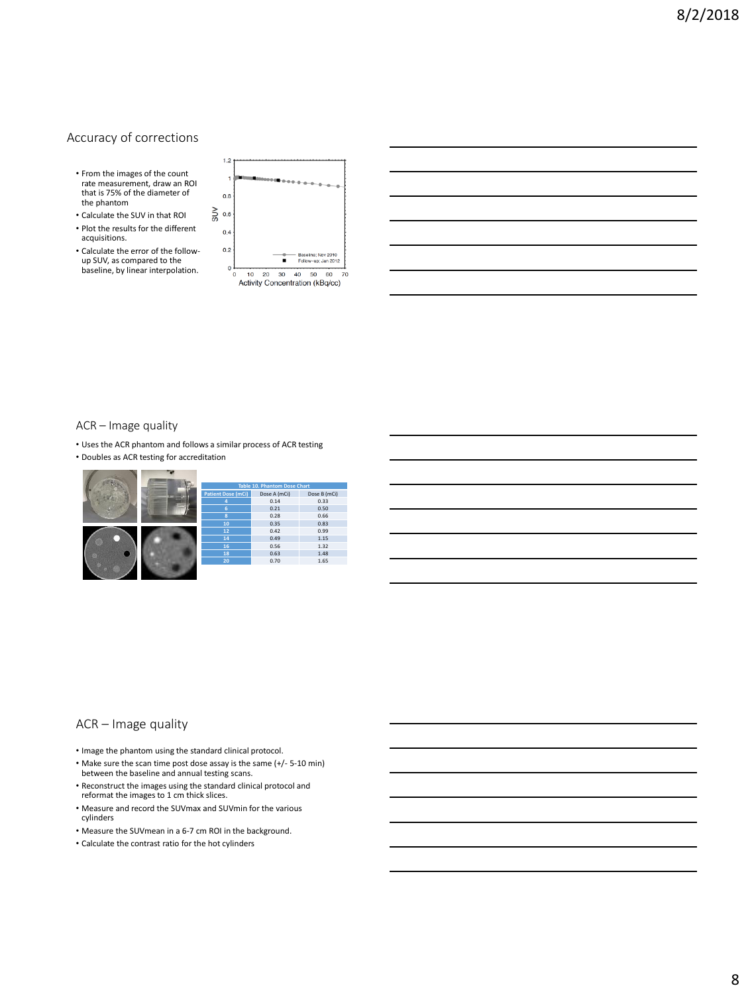#### Accuracy of corrections

- From the images of the count rate measurement, draw an ROI that is 75% of the diameter of the phantom
- Calculate the SUV in that ROI • Plot the results for the different acquisitions.
- Calculate the error of the followup SUV, as compared to the baseline, by linear interpolation.





#### ACR – Image quality

- Uses the ACR phantom and follows a similar process of ACR testing
- Doubles as ACR testing for accreditation

|  | Table 10. Phantom Dose Chart |              |              |  |  |
|--|------------------------------|--------------|--------------|--|--|
|  | <b>Patient Dose (mCi)</b>    | Dose A (mCi) | Dose B (mCi) |  |  |
|  | 4                            | 0.14         | 0.33         |  |  |
|  | 6                            | 0.21         | 0.50         |  |  |
|  | 8                            | 0.28         | 0.66         |  |  |
|  | 10                           | 0.35         | 0.83         |  |  |
|  | 12                           | 0.42         | 0.99         |  |  |
|  | 14                           | 0.49         | 1.15         |  |  |
|  | 16                           | 0.56         | 1.32         |  |  |
|  | 18                           | 0.63         | 1.48         |  |  |
|  | 20                           | 0.70         | 1.65         |  |  |
|  |                              |              |              |  |  |

#### ACR – Image quality

- Image the phantom using the standard clinical protocol.
- Make sure the scan time post dose assay is the same (+/- 5-10 min) between the baseline and annual testing scans.
- Reconstruct the images using the standard clinical protocol and reformat the images to 1 cm thick slices.
- Measure and record the SUVmax and SUVmin for the various cylinders
- Measure the SUVmean in a 6-7 cm ROI in the background.
- Calculate the contrast ratio for the hot cylinders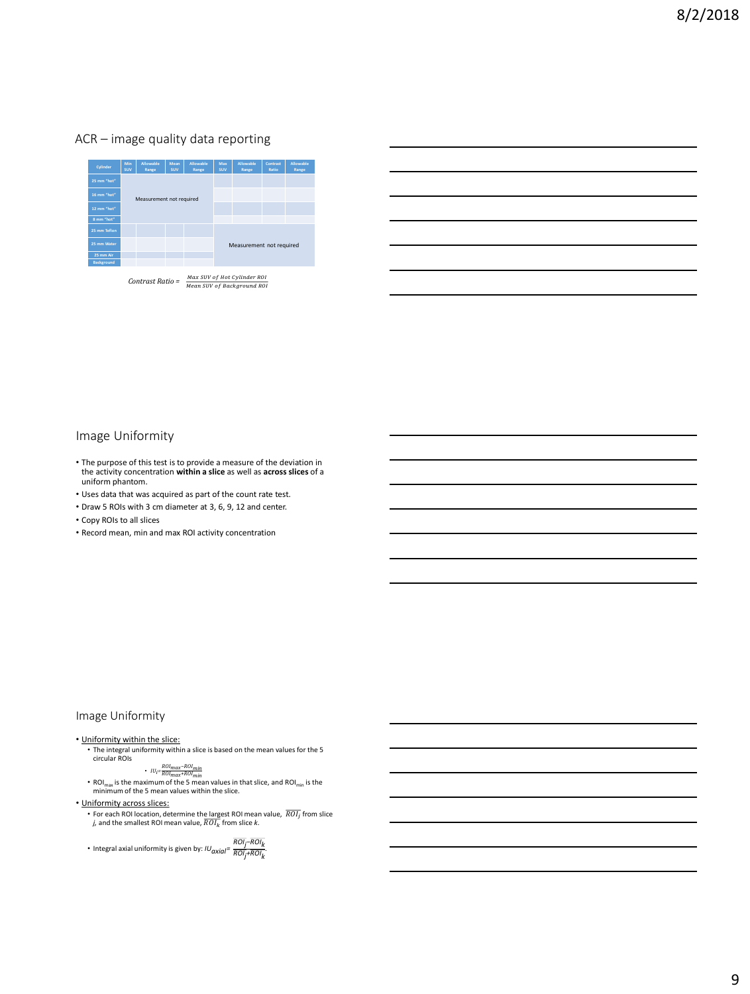#### ACR – image quality data reporting



*Contrast Ratio =* 

#### Image Uniformity

- The purpose of this test is to provide a measure of the deviation in the activity concentration **within a slice** as well as **across slices** of a uniform phantom.
- Uses data that was acquired as part of the count rate test.
- Draw 5 ROIs with 3 cm diameter at 3, 6, 9, 12 and center.
- Copy ROIs to all slices
- Record mean, min and max ROI activity concentration

#### Image Uniformity

- Uniformity within the slice: The integral uniformity within a slice is based on the mean values for the 5 circular ROIs
	-
	-
	- *IU<sub>i</sub>*  $ROL_{max}$  *ROImax*<sup>-RO*Imin*</sub><br>• ROI<sub>max</sub> is the maximum of the 5 mean values in that slice, and ROI<sub>min</sub> is the minimum of the 5 mean values within the slice.</sup>
- Uniformity across slices:
	- For each ROI location, determine the largest ROI mean value, from slice *j,* and the smallest ROI mean value, from slice *k*.

*►* Integral axial uniformity is given by: *IU*<sub>axial</sub>=  $\frac{ROI_j - ROI_k}{ROI_j + ROI_k}$ .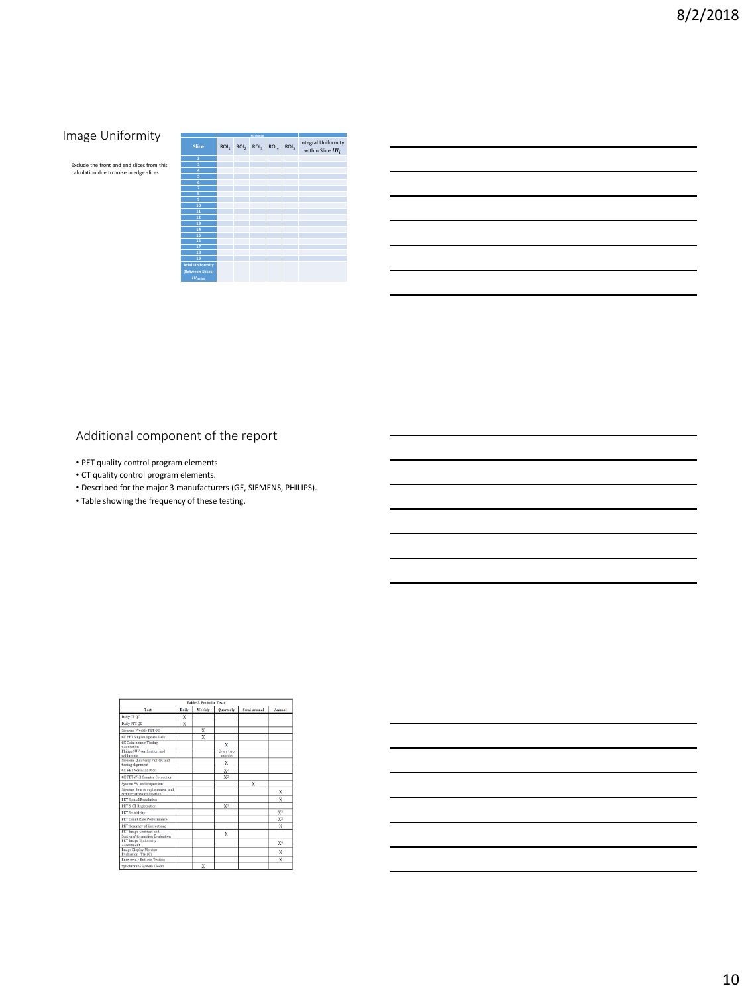# **Image Uniformity**

Exclude the front and end slices from this calculation due to noise in edge slices

|                            |                                 | <b>BOI Morre</b> |                  |                                                   |
|----------------------------|---------------------------------|------------------|------------------|---------------------------------------------------|
| <b>Slice</b>               | ROI, ROI, ROI, ROI <sub>4</sub> |                  | ROI <sub>5</sub> | <b>Integral Uniformity</b><br>within Slice $IU_i$ |
| $\bar{z}$                  |                                 |                  |                  |                                                   |
| $\overline{\mathbf{3}}$    |                                 |                  |                  |                                                   |
| 4                          |                                 |                  |                  |                                                   |
| $\overline{\mathbf{s}}$    |                                 |                  |                  |                                                   |
| 6                          |                                 |                  |                  |                                                   |
| 7                          |                                 |                  |                  |                                                   |
| $\overline{\mathbf{8}}$    |                                 |                  |                  |                                                   |
| 9                          |                                 |                  |                  |                                                   |
| 10                         |                                 |                  |                  |                                                   |
| 11                         |                                 |                  |                  |                                                   |
| 12                         |                                 |                  |                  |                                                   |
| 13                         |                                 |                  |                  |                                                   |
| 14                         |                                 |                  |                  |                                                   |
| 15                         |                                 |                  |                  |                                                   |
| 16                         |                                 |                  |                  |                                                   |
| 17                         |                                 |                  |                  |                                                   |
| 18                         |                                 |                  |                  |                                                   |
| 19                         |                                 |                  |                  |                                                   |
| <b>Axial Uniformity</b>    |                                 |                  |                  |                                                   |
| (Between Slices)           |                                 |                  |                  |                                                   |
| <b>IU</b> <sub>azial</sub> |                                 |                  |                  |                                                   |

- PET quality control program elements
- CT quality control program elements.
- Described for the major 3 manufacturers (GE, SIEMENS, PHILIPS).
- Table showing the frequency of these testing.

| Table 2. Periodic Tests                                         |       |                         |                            |             |                |  |
|-----------------------------------------------------------------|-------|-------------------------|----------------------------|-------------|----------------|--|
| Test                                                            | Daily | Weekly                  | <b>Ouarterly</b>           | Semi-annual | <b>Annual</b>  |  |
| Daily CT OC                                                     | X     |                         |                            |             |                |  |
| Daily PET OC                                                    | X     |                         |                            |             |                |  |
| Siemens Weekly PET OC                                           |       | X                       |                            |             |                |  |
| GE PET Singles Update Gain                                      |       | X                       |                            |             |                |  |
| <b>GE Coincidence Timing</b><br>Calibration                     |       |                         | x                          |             |                |  |
| Philips SUV verification and<br>calibration                     |       |                         | <b>Every two</b><br>months |             |                |  |
| Siemens Onarterly PET OC and<br>timing alignment                |       |                         | x                          |             |                |  |
| <b>GE PET Normalization</b>                                     |       |                         | $X^2$                      |             |                |  |
| <b>GE PET Well Counter Correction</b>                           |       |                         | X <sup>2</sup>             |             |                |  |
| System PM and inspection                                        |       |                         |                            | X           |                |  |
| Siemens Source replacement and<br>scanner cross-calibration     |       |                         |                            |             | X              |  |
| <b>PET Spatial Resolution</b>                                   |       |                         |                            |             | x              |  |
| PET & CT Registration.                                          |       |                         | X <sup>1</sup>             |             |                |  |
| <b>PET Sensitivity</b>                                          |       |                         |                            |             | $X^2$          |  |
| <b>PET Count Rate Performance</b>                               |       |                         |                            |             | $X^3$          |  |
| <b>PET Accuracy of Corrections</b>                              |       |                         |                            |             | X              |  |
| <b>PET Image Contrast and</b><br>Scatter/Attenuation Evaluation |       |                         | x                          |             |                |  |
| <b>PET Image Uniformity</b><br>Accordment                       |       |                         |                            |             | X <sup>4</sup> |  |
| Image Display Monitor<br>Evaluation (TG-18)                     |       |                         |                            |             | X              |  |
| <b>Emergency Buttons Testing</b>                                |       |                         |                            |             | X              |  |
| Souchroning System Clocks                                       |       | $\overline{\mathbf{v}}$ |                            |             |                |  |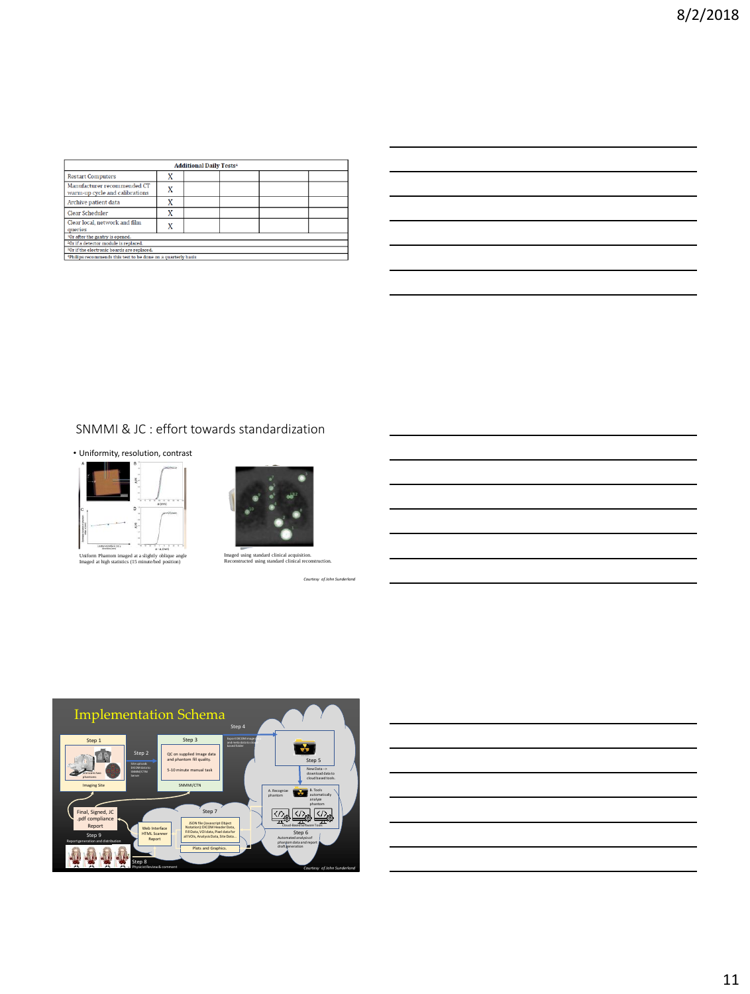| <b>Additional Daily Tests<sup>4</sup></b>                                 |   |  |  |  |  |  |
|---------------------------------------------------------------------------|---|--|--|--|--|--|
| <b>Restart Computers</b>                                                  |   |  |  |  |  |  |
| Manufacturer recommended CT<br>warm-up cycle and calibrations             | X |  |  |  |  |  |
| Archive patient data                                                      | v |  |  |  |  |  |
| Clear Scheduler                                                           | X |  |  |  |  |  |
| Clear local, network and film<br>queries                                  | X |  |  |  |  |  |
| <sup>1</sup> Or after the gantry is opened.                               |   |  |  |  |  |  |
| <sup>2</sup> Or if a detector module is replaced.                         |   |  |  |  |  |  |
| <sup>3</sup> Or if the electronic boards are replaced.                    |   |  |  |  |  |  |
| <sup>4</sup> Philips recommends this test to be done on a quarterly basis |   |  |  |  |  |  |

# SNMMI & JC : effort towards standardization

• Uniformity, resolution, contrast





Imaged using standard clinical acquisition. Reconstructed using standard clinical reconstruction.

*Courtesy of John Sunderland*